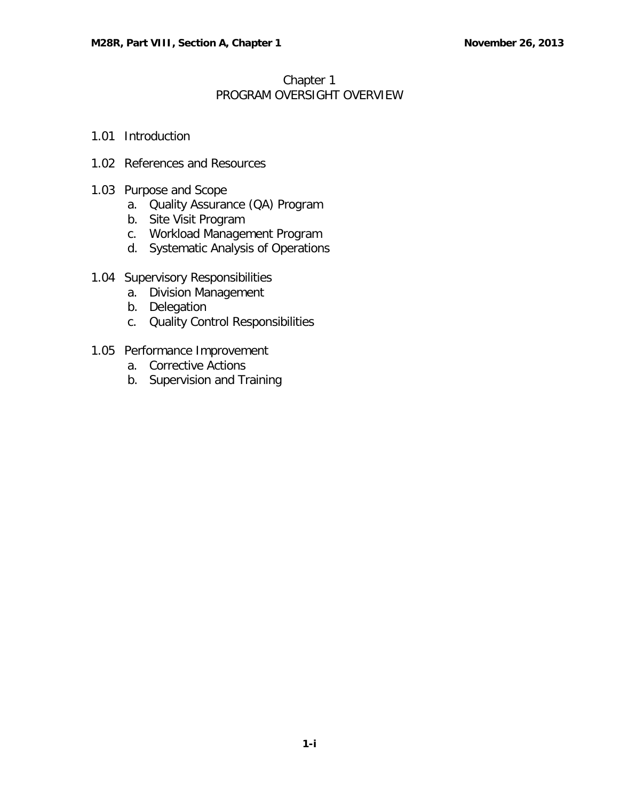## Chapter 1 PROGRAM OVERSIGHT OVERVIEW

- 1.01 [Introduction](#page-1-0)
- 1.02 [References and Resources](#page-1-1)
- 1.03 [Purpose and Scope](#page-1-2)
	- a. [Quality Assurance \(QA\) Program](#page-1-3)
	- b. [Site Visit Program](#page-2-0)
	- c. [Workload Management Program](#page-2-1)
	- d. [Systematic Analysis of Operations](#page-3-0)
- 1.04 [Supervisory Responsibilities](#page-3-1)
	- a. [Division Management](#page-3-2)
	- b. [Delegation](#page-3-3)
	- c. [Quality Control Responsibilities](#page-4-0)
- 1.05 [Performance Improvement](#page-4-1)
	- a. [Corrective Actions](#page-4-2)
	- b. [Supervision and Training](#page-4-3)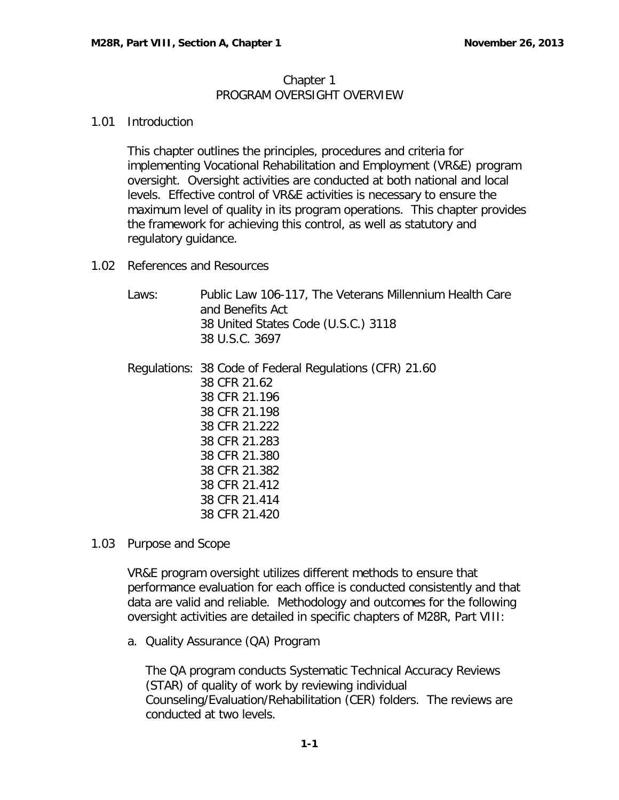## Chapter 1 PROGRAM OVERSIGHT OVERVIEW

## <span id="page-1-0"></span>1.01 Introduction

This chapter outlines the principles, procedures and criteria for implementing Vocational Rehabilitation and Employment (VR&E) program oversight. Oversight activities are conducted at both national and local levels. Effective control of VR&E activities is necessary to ensure the maximum level of quality in its program operations. This chapter provides the framework for achieving this control, as well as statutory and regulatory guidance.

<span id="page-1-1"></span>1.02 References and Resources

| Laws: | Public Law 106-117, The Veterans Millennium Health Care<br>and Benefits Act<br>38 United States Code (U.S.C.) 3118<br>38 U.S.C. 3697 |
|-------|--------------------------------------------------------------------------------------------------------------------------------------|
|       | Regulations: 38 Code of Federal Regulations (CFR) 21.60                                                                              |
|       | 38 CFR 21.62                                                                                                                         |
|       | 38 CFR 21.196                                                                                                                        |
|       | 38 CFR 21.198                                                                                                                        |
|       | 38 CFR 21.222                                                                                                                        |
|       | 38 CFR 21.283                                                                                                                        |
|       | 38 CFR 21.380                                                                                                                        |
|       | 38 CFR 21.382                                                                                                                        |
|       | 38 CFR 21.412                                                                                                                        |
|       | 38 CFR 21.414                                                                                                                        |
|       | 38 CFR 21.420                                                                                                                        |

<span id="page-1-2"></span>1.03 Purpose and Scope

VR&E program oversight utilizes different methods to ensure that performance evaluation for each office is conducted consistently and that data are valid and reliable. Methodology and outcomes for the following oversight activities are detailed in specific chapters of M28R, Part VIII:

<span id="page-1-3"></span>a. Quality Assurance (QA) Program

The QA program conducts Systematic Technical Accuracy Reviews (STAR) of quality of work by reviewing individual Counseling/Evaluation/Rehabilitation (CER) folders. The reviews are conducted at two levels.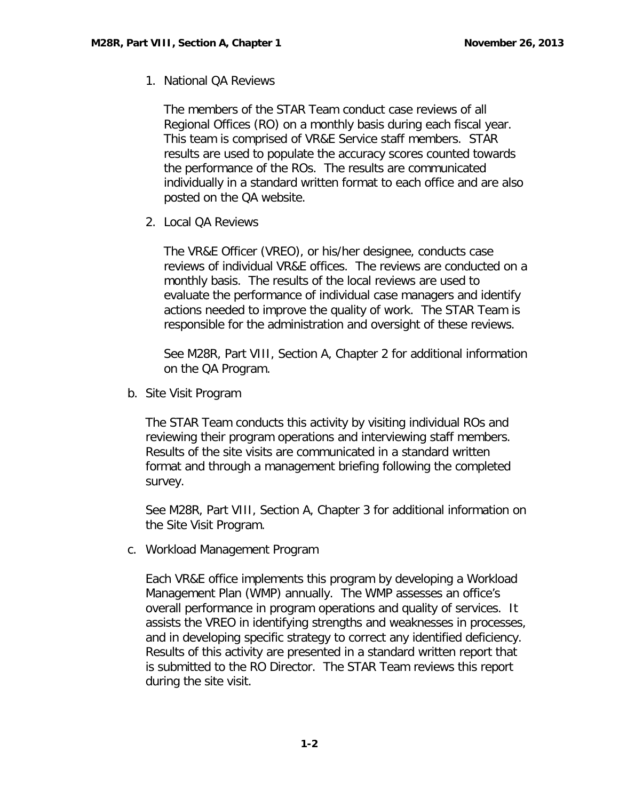1. National QA Reviews

The members of the STAR Team conduct case reviews of all Regional Offices (RO) on a monthly basis during each fiscal year. This team is comprised of VR&E Service staff members. STAR results are used to populate the accuracy scores counted towards the performance of the ROs. The results are communicated individually in a standard written format to each office and are also posted on the QA website.

2. Local QA Reviews

The VR&E Officer (VREO), or his/her designee, conducts case reviews of individual VR&E offices. The reviews are conducted on a monthly basis. The results of the local reviews are used to evaluate the performance of individual case managers and identify actions needed to improve the quality of work. The STAR Team is responsible for the administration and oversight of these reviews.

See M28R, Part VIII, Section A, Chapter 2 for additional information on the QA Program.

<span id="page-2-0"></span>b. Site Visit Program

The STAR Team conducts this activity by visiting individual ROs and reviewing their program operations and interviewing staff members. Results of the site visits are communicated in a standard written format and through a management briefing following the completed survey.

See M28R, Part VIII, Section A, Chapter 3 for additional information on the Site Visit Program.

<span id="page-2-1"></span>c. Workload Management Program

Each VR&E office implements this program by developing a Workload Management Plan (WMP) annually. The WMP assesses an office's overall performance in program operations and quality of services. It assists the VREO in identifying strengths and weaknesses in processes, and in developing specific strategy to correct any identified deficiency. Results of this activity are presented in a standard written report that is submitted to the RO Director. The STAR Team reviews this report during the site visit.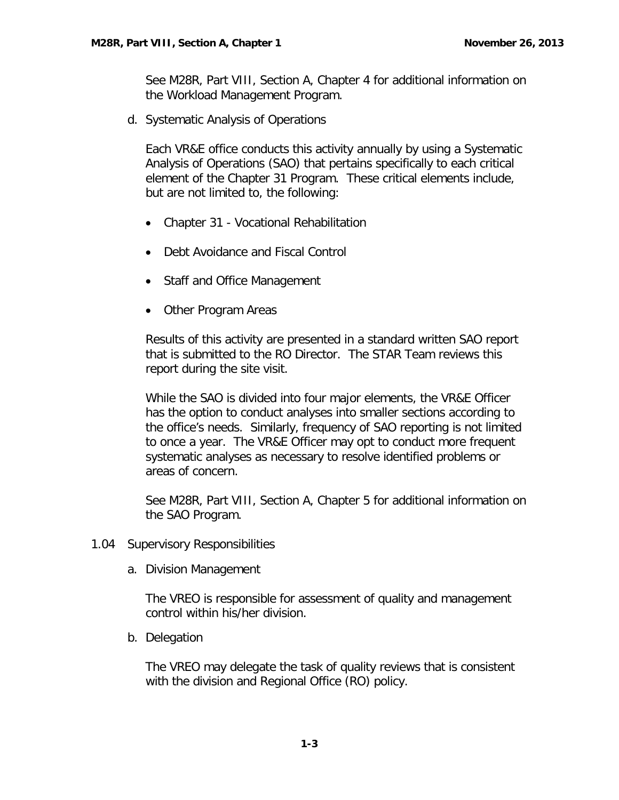See M28R, Part VIII, Section A, Chapter 4 for additional information on the Workload Management Program.

<span id="page-3-0"></span>d. Systematic Analysis of Operations

Each VR&E office conducts this activity annually by using a Systematic Analysis of Operations (SAO) that pertains specifically to each critical element of the Chapter 31 Program. These critical elements include, but are not limited to, the following:

- Chapter 31 Vocational Rehabilitation
- Debt Avoidance and Fiscal Control
- Staff and Office Management
- Other Program Areas

Results of this activity are presented in a standard written SAO report that is submitted to the RO Director. The STAR Team reviews this report during the site visit.

While the SAO is divided into four major elements, the VR&E Officer has the option to conduct analyses into smaller sections according to the office's needs. Similarly, frequency of SAO reporting is not limited to once a year. The VR&E Officer may opt to conduct more frequent systematic analyses as necessary to resolve identified problems or areas of concern.

See M28R, Part VIII, Section A, Chapter 5 for additional information on the SAO Program.

- <span id="page-3-2"></span><span id="page-3-1"></span>1.04 Supervisory Responsibilities
	- a. Division Management

The VREO is responsible for assessment of quality and management control within his/her division.

<span id="page-3-3"></span>b. Delegation

The VREO may delegate the task of quality reviews that is consistent with the division and Regional Office (RO) policy.